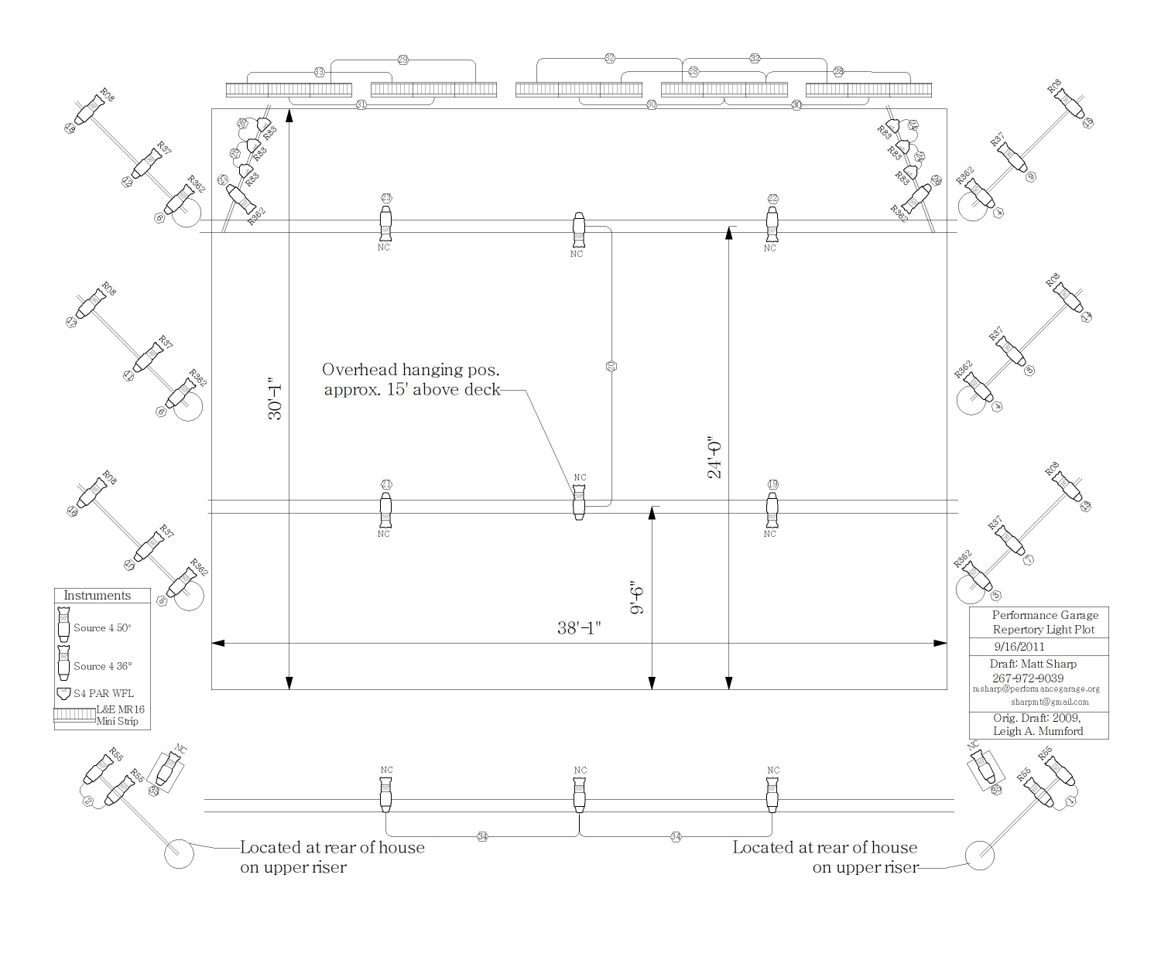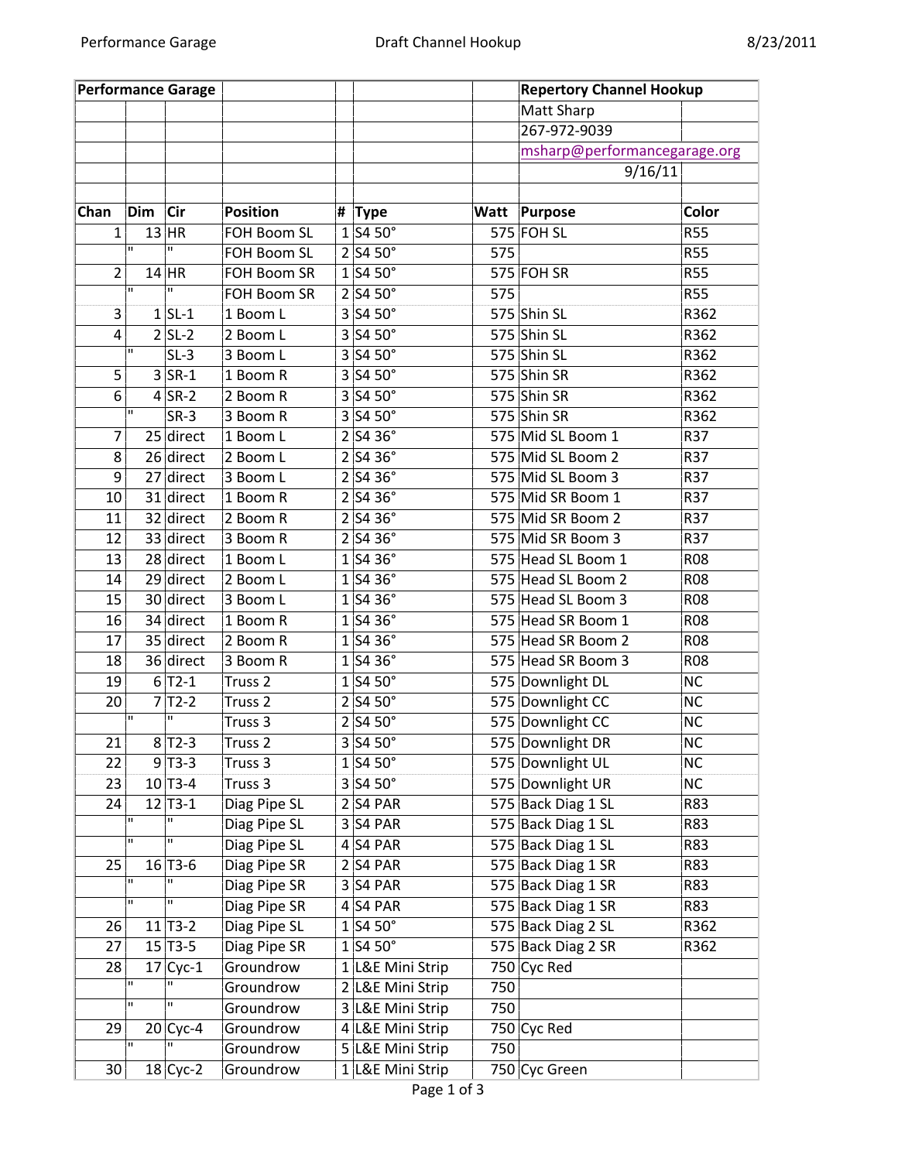